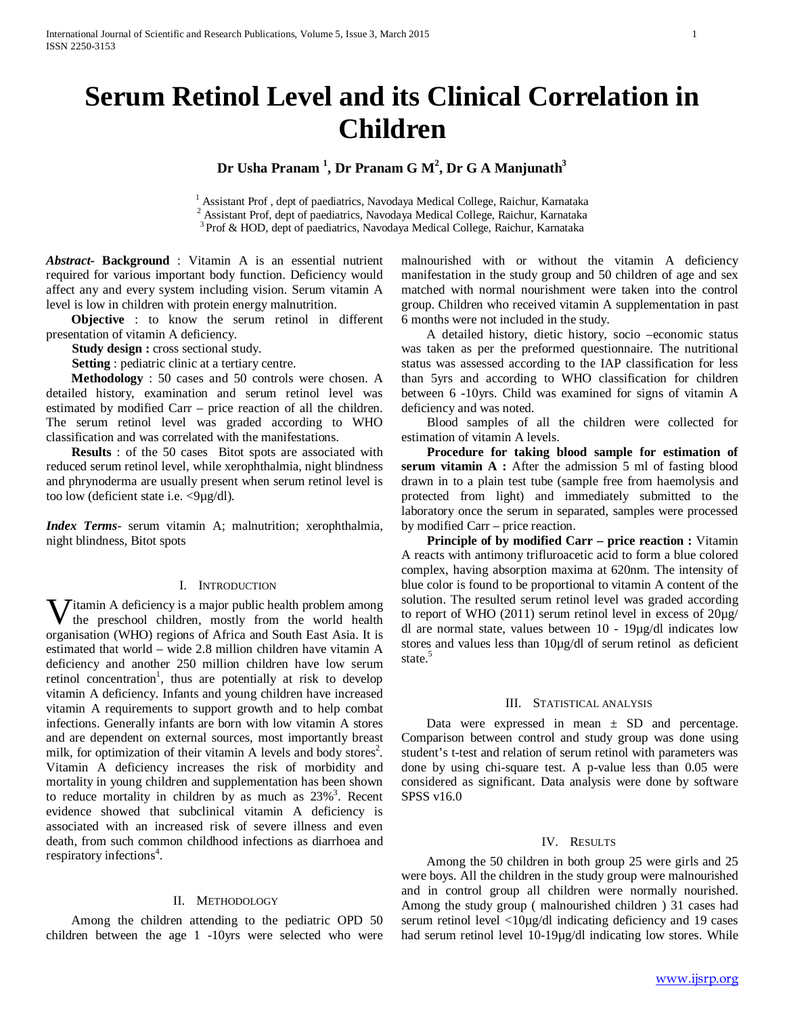# **Serum Retinol Level and its Clinical Correlation in Children**

**Dr Usha Pranam <sup>1</sup> , Dr Pranam G M2 , Dr G A Manjunath3**

<sup>1</sup> Assistant Prof, dept of paediatrics, Navodaya Medical College, Raichur, Karnataka 2 Assistant Prof, dept of paediatrics, Navodaya Medical College, Raichur, Karnataka 3 Prof & HOD, dept of paediatrics, Navodaya Medical College, Raichur, Karnataka

*Abstract***- Background** : Vitamin A is an essential nutrient required for various important body function. Deficiency would affect any and every system including vision. Serum vitamin A level is low in children with protein energy malnutrition.

 **Objective** : to know the serum retinol in different presentation of vitamin A deficiency.

**Study design :** cross sectional study.

**Setting**: pediatric clinic at a tertiary centre.

 **Methodology** : 50 cases and 50 controls were chosen. A detailed history, examination and serum retinol level was estimated by modified Carr – price reaction of all the children. The serum retinol level was graded according to WHO classification and was correlated with the manifestations.

 **Results** : of the 50 cases Bitot spots are associated with reduced serum retinol level, while xerophthalmia, night blindness and phrynoderma are usually present when serum retinol level is too low (deficient state i.e. <9µg/dl).

*Index Terms*- serum vitamin A; malnutrition; xerophthalmia, night blindness, Bitot spots

# I. INTRODUCTION

 $\overline{I}$ itamin A deficiency is a major public health problem among the preschool children, mostly from the world health **V** itamin A deficiency is a major public health problem among the preschool children, mostly from the world health organisation (WHO) regions of Africa and South East Asia. It is estimated that world – wide 2.8 million children have vitamin A deficiency and another 250 million children have low serum retinol concentration<sup>1</sup>, thus are potentially at risk to develop vitamin A deficiency. Infants and young children have increased vitamin A requirements to support growth and to help combat infections. Generally infants are born with low vitamin A stores and are dependent on external sources, most importantly breast milk, for optimization of their vitamin A levels and body stores<sup>2</sup>. Vitamin A deficiency increases the risk of morbidity and mortality in young children and supplementation has been shown to reduce mortality in children by as much as  $23\%$ <sup>3</sup>. Recent evidence showed that subclinical vitamin A deficiency is associated with an increased risk of severe illness and even death, from such common childhood infections as diarrhoea and respiratory infections<sup>4</sup>.

# II. METHODOLOGY

Among the children attending to the pediatric OPD 50 children between the age 1 -10yrs were selected who were malnourished with or without the vitamin A deficiency manifestation in the study group and 50 children of age and sex matched with normal nourishment were taken into the control group. Children who received vitamin A supplementation in past 6 months were not included in the study.

A detailed history, dietic history, socio –economic status was taken as per the preformed questionnaire. The nutritional status was assessed according to the IAP classification for less than 5yrs and according to WHO classification for children between 6 -10yrs. Child was examined for signs of vitamin A deficiency and was noted.

Blood samples of all the children were collected for estimation of vitamin A levels.

 **Procedure for taking blood sample for estimation of serum vitamin A :** After the admission 5 ml of fasting blood drawn in to a plain test tube (sample free from haemolysis and protected from light) and immediately submitted to the laboratory once the serum in separated, samples were processed by modified Carr – price reaction.

 **Principle of by modified Carr – price reaction :** Vitamin A reacts with antimony trifluroacetic acid to form a blue colored complex, having absorption maxima at 620nm. The intensity of blue color is found to be proportional to vitamin A content of the solution. The resulted serum retinol level was graded according to report of WHO (2011) serum retinol level in excess of 20µg/ dl are normal state, values between 10 - 19µg/dl indicates low stores and values less than 10µg/dl of serum retinol as deficient state.<sup>5</sup>

# III. STATISTICAL ANALYSIS

Data were expressed in mean  $\pm$  SD and percentage. Comparison between control and study group was done using student's t-test and relation of serum retinol with parameters was done by using chi-square test. A p-value less than 0.05 were considered as significant. Data analysis were done by software SPSS v16.0

#### IV. RESULTS

Among the 50 children in both group 25 were girls and 25 were boys. All the children in the study group were malnourished and in control group all children were normally nourished. Among the study group ( malnourished children ) 31 cases had serum retinol level <10µg/dl indicating deficiency and 19 cases had serum retinol level 10-19µg/dl indicating low stores. While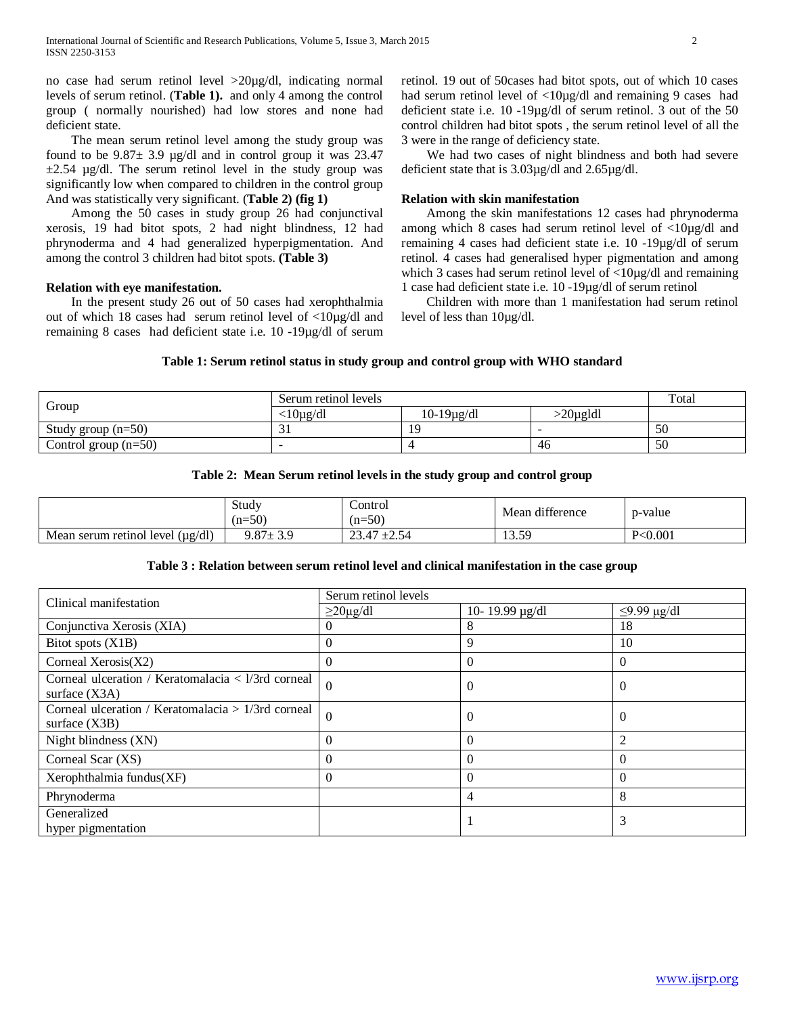no case had serum retinol level >20µg/dl, indicating normal levels of serum retinol. (**Table 1).** and only 4 among the control group ( normally nourished) had low stores and none had deficient state.

The mean serum retinol level among the study group was found to be  $9.87 \pm 3.9$  µg/dl and in control group it was 23.47  $\pm 2.54$  µg/dl. The serum retinol level in the study group was significantly low when compared to children in the control group And was statistically very significant. (**Table 2) (fig 1)**

Among the 50 cases in study group 26 had conjunctival xerosis, 19 had bitot spots, 2 had night blindness, 12 had phrynoderma and 4 had generalized hyperpigmentation. And among the control 3 children had bitot spots. **(Table 3)**

# **Relation with eye manifestation.**

In the present study 26 out of 50 cases had xerophthalmia out of which 18 cases had serum retinol level of <10µg/dl and remaining 8 cases had deficient state i.e. 10 -19µg/dl of serum retinol. 19 out of 50cases had bitot spots, out of which 10 cases had serum retinol level of <10µg/dl and remaining 9 cases had deficient state i.e. 10 -19µg/dl of serum retinol. 3 out of the 50 control children had bitot spots , the serum retinol level of all the 3 were in the range of deficiency state.

We had two cases of night blindness and both had severe deficient state that is 3.03µg/dl and 2.65µg/dl.

### **Relation with skin manifestation**

Among the skin manifestations 12 cases had phrynoderma among which 8 cases had serum retinol level of <10µg/dl and remaining 4 cases had deficient state i.e. 10 -19µg/dl of serum retinol. 4 cases had generalised hyper pigmentation and among which 3 cases had serum retinol level of <10µg/dl and remaining 1 case had deficient state i.e. 10 -19µg/dl of serum retinol

Children with more than 1 manifestation had serum retinol level of less than 10µg/dl.

# **Table 1: Serum retinol status in study group and control group with WHO standard**

| Group                  | Serum retinol levels | Total                 |         |    |
|------------------------|----------------------|-----------------------|---------|----|
|                        | $<$ l $0$ µg/dl      | $10-19\mu\text{g/dl}$ | 20µgldl |    |
| Study group $(n=50)$   |                      |                       |         | 50 |
| Control group $(n=50)$ |                      |                       | 40      | 50 |

| Table 2: Mean Serum retinol levels in the study group and control group |  |  |  |  |
|-------------------------------------------------------------------------|--|--|--|--|
|                                                                         |  |  |  |  |

|                                             | Study<br>$(n=50)$ | Control<br>$(n=50)$                                                | difference<br>Mean | p-value  |
|---------------------------------------------|-------------------|--------------------------------------------------------------------|--------------------|----------|
| $(\mu g/dl)$<br>Mean<br>serum retinol level | $9.87 \pm 3.$     | $\sim$ $\sim$<br>$\sim$<br>$\overline{A}$<br>$\angle$ .+<br>ر. ، ے | 13.59              | P< 0.001 |

# **Table 3 : Relation between serum retinol level and clinical manifestation in the case group**

|                                                                       | Serum retinol levels |                     |                   |  |
|-----------------------------------------------------------------------|----------------------|---------------------|-------------------|--|
| Clinical manifestation                                                | $\geq$ 20µg/dl       | 10-19.99 $\mu$ g/dl | $\leq$ 9.99 µg/dl |  |
| Conjunctiva Xerosis (XIA)                                             | $\theta$             | 8                   | 18                |  |
| Bitot spots (X1B)                                                     | $\theta$             | 9                   | 10                |  |
| Corneal Xerosis $(X2)$                                                | $\theta$             | $\Omega$            | $\Omega$          |  |
| Corneal ulceration / Keratomalacia < l/3rd corneal<br>surface $(X3A)$ | $\Omega$             | $\Omega$            | $\Omega$          |  |
| Corneal ulceration / Keratomalacia > 1/3rd corneal<br>surface $(X3B)$ | $\Omega$             | $\theta$            | U                 |  |
| Night blindness (XN)                                                  | $\Omega$             | $\Omega$            | 2                 |  |
| Corneal Scar (XS)                                                     | $\Omega$             | $\Omega$            | $\Omega$          |  |
| Xerophthalmia fundus(XF)                                              | $\theta$             | $\theta$            | $\theta$          |  |
| Phrynoderma                                                           |                      | 4                   | 8                 |  |
| Generalized<br>hyper pigmentation                                     |                      |                     | 3                 |  |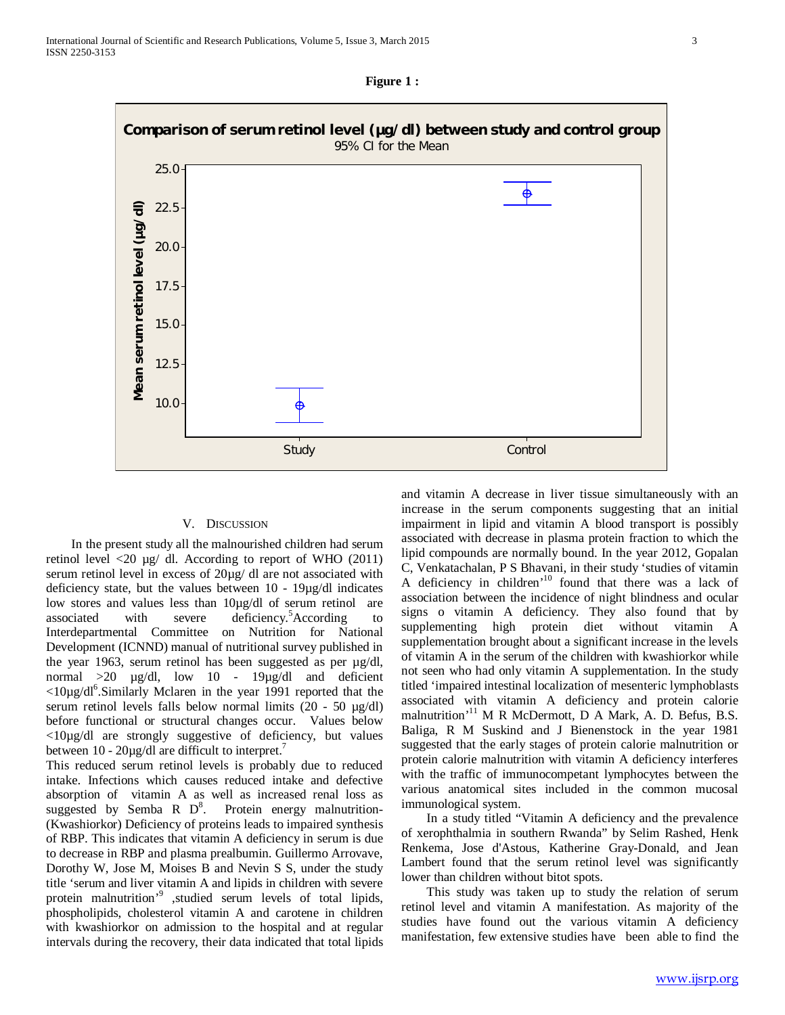



#### V. DISCUSSION

In the present study all the malnourished children had serum retinol level <20 µg/ dl. According to report of WHO (2011) serum retinol level in excess of  $20\mu$ g/ dl are not associated with deficiency state, but the values between 10 - 19µg/dl indicates low stores and values less than 10µg/dl of serum retinol are associated with severe deficiency.<sup>5</sup>According to Interdepartmental Committee on Nutrition for National Development (ICNND) manual of nutritional survey published in the year 1963, serum retinol has been suggested as per µg/dl, normal >20 µg/dl, low 10 - 19µg/dl and deficient  $\langle 10 \mu g/d \vert^6$ . Similarly Mclaren in the year 1991 reported that the serum retinol levels falls below normal limits (20 - 50 µg/dl) before functional or structural changes occur. Values below <10µg/dl are strongly suggestive of deficiency, but values between  $10 - 20\mu\text{g/dl}$  are difficult to interpret.<sup>7</sup>

This reduced serum retinol levels is probably due to reduced intake. Infections which causes reduced intake and defective absorption of vitamin A as well as increased renal loss as suggested by Semba R  $D^8$ . Protein energy malnutrition-(Kwashiorkor) Deficiency of proteins leads to impaired synthesis of RBP. This indicates that vitamin A deficiency in serum is due to decrease in RBP and plasma prealbumin. Guillermo Arrovave, Dorothy W, Jose M, Moises B and Nevin S S, under the study title 'serum and liver vitamin A and lipids in children with severe protein malnutrition'9 ,studied serum levels of total lipids, phospholipids, cholesterol vitamin A and carotene in children with kwashiorkor on admission to the hospital and at regular intervals during the recovery, their data indicated that total lipids and vitamin A decrease in liver tissue simultaneously with an increase in the serum components suggesting that an initial impairment in lipid and vitamin A blood transport is possibly associated with decrease in plasma protein fraction to which the lipid compounds are normally bound. In the year 2012, Gopalan C, Venkatachalan, P S Bhavani, in their study 'studies of vitamin A deficiency in children<sup>'10</sup> found that there was a lack of association between the incidence of night blindness and ocular signs o vitamin A deficiency. They also found that by supplementing high protein diet without vitamin A supplementation brought about a significant increase in the levels of vitamin A in the serum of the children with kwashiorkor while not seen who had only vitamin A supplementation. In the study titled 'impaired intestinal localization of mesenteric lymphoblasts associated with vitamin A deficiency and protein calorie malnutrition'<sup>11</sup> M R McDermott, D A Mark, A. D. Befus, B.S. Baliga, R M Suskind and J Bienenstock in the year 1981 suggested that the early stages of protein calorie malnutrition or protein calorie malnutrition with vitamin A deficiency interferes with the traffic of immunocompetant lymphocytes between the various anatomical sites included in the common mucosal immunological system.

In a study titled "Vitamin A deficiency and the prevalence of xerophthalmia in southern Rwanda" by Selim Rashed, Henk Renkema, Jose d'Astous, Katherine Gray-Donald, and Jean Lambert found that the serum retinol level was significantly lower than children without bitot spots.

This study was taken up to study the relation of serum retinol level and vitamin A manifestation. As majority of the studies have found out the various vitamin A deficiency manifestation, few extensive studies have been able to find the